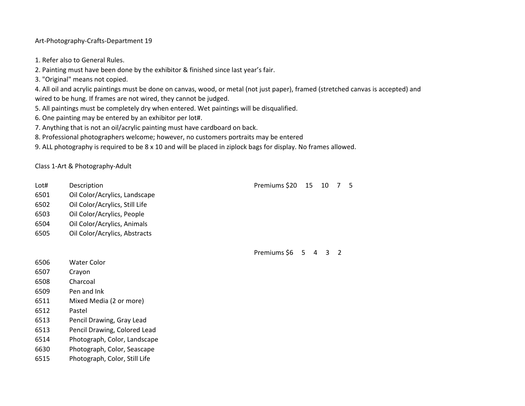## Art-Photography-Crafts-Department 19

- 1. Refer also to General Rules.
- 2. Painting must have been done by the exhibitor & finished since last year's fair.
- 3. "Original" means not copied.

4. All oil and acrylic paintings must be done on canvas, wood, or metal (not just paper), framed (stretched canvas is accepted) and wired to be hung. If frames are not wired, they cannot be judged.

- 5. All paintings must be completely dry when entered. Wet paintings will be disqualified.
- 6. One painting may be entered by an exhibitor per lot#.
- 7. Anything that is not an oil/acrylic painting must have cardboard on back.
- 8. Professional photographers welcome; however, no customers portraits may be entered
- 9. ALL photography is required to be 8 x 10 and will be placed in ziplock bags for display. No frames allowed.

Class 1-Art & Photography-Adult

- Lot# Description **Premiums \$20 15 10 7 5**
- 6501 Oil Color/Acrylics, Landscape
- 6502 Oil Color/Acrylics, Still Life
- 6503 Oil Color/Acrylics, People
- 6504 Oil Color/Acrylics, Animals
- 6505 Oil Color/Acrylics, Abstracts

Premiums \$6 5 4 3 2

- 6506 Water Color
- 6507 Crayon
- 6508 Charcoal
- 6509 Pen and Ink
- 6511 Mixed Media (2 or more)
- 6512 Pastel
- 6513 Pencil Drawing, Gray Lead
- 6513 Pencil Drawing, Colored Lead
- 6514 Photograph, Color, Landscape
- 6630 Photograph, Color, Seascape
- 6515 Photograph, Color, Still Life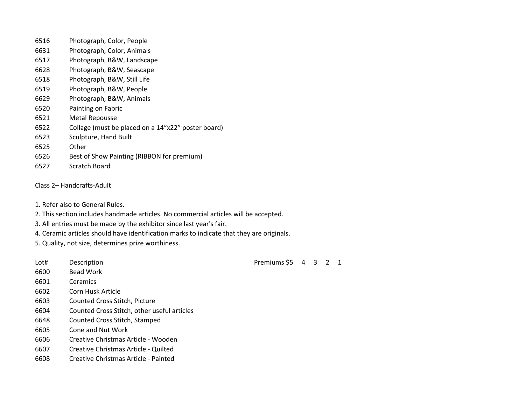- Photograph, Color, People
- Photograph, Color, Animals
- Photograph, B&W, Landscape
- Photograph, B&W, Seascape
- Photograph, B&W, Still Life
- Photograph, B&W, People
- Photograph, B&W, Animals
- Painting on Fabric
- Metal Repousse
- Collage (must be placed on a 14"x22" poster board)
- Sculpture, Hand Built
- Other
- Best of Show Painting (RIBBON for premium)
- Scratch Board
- Class 2– Handcrafts-Adult
- 1. Refer also to General Rules.
- 2. This section includes handmade articles. No commercial articles will be accepted.
- 3. All entries must be made by the exhibitor since last year's fair.
- 4. Ceramic articles should have identification marks to indicate that they are originals.
- 5. Quality, not size, determines prize worthiness.
- 
- Bead Work
- Ceramics
- Corn Husk Article
- Counted Cross Stitch, Picture
- Counted Cross Stitch, other useful articles
- Counted Cross Stitch, Stamped
- Cone and Nut Work
- Creative Christmas Article Wooden
- Creative Christmas Article Quilted
- Creative Christmas Article Painted

Lot# Description **Description** Description **Premiums** \$5 4 3 2 1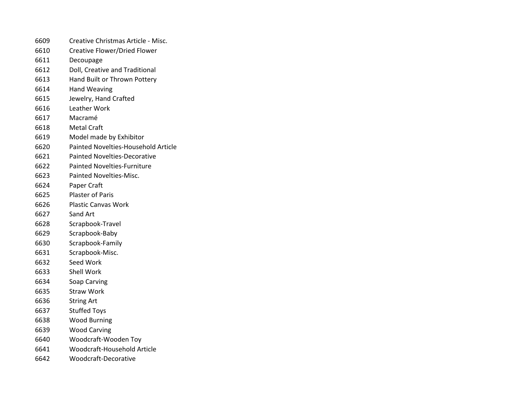- Creative Christmas Article Misc.
- Creative Flower/Dried Flower
- Decoupage
- Doll, Creative and Traditional
- Hand Built or Thrown Pottery
- Hand Weaving
- Jewelry, Hand Crafted
- Leather Work
- Macramé
- Metal Craft
- Model made by Exhibitor
- Painted Novelties-Household Article
- Painted Novelties-Decorative
- Painted Novelties-Furniture
- Painted Novelties-Misc.
- Paper Craft
- Plaster of Paris
- Plastic Canvas Work
- Sand Art
- Scrapbook-Travel
- Scrapbook-Baby
- Scrapbook-Family
- Scrapbook-Misc.
- Seed Work
- Shell Work
- Soap Carving
- Straw Work
- String Art
- Stuffed Toys
- Wood Burning
- Wood Carving
- Woodcraft-Wooden Toy
- Woodcraft-Household Article
- Woodcraft-Decorative